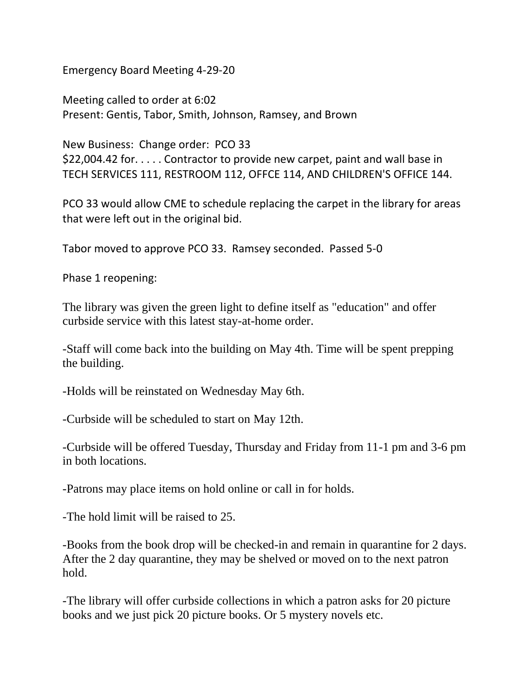Emergency Board Meeting 4-29-20

Meeting called to order at 6:02 Present: Gentis, Tabor, Smith, Johnson, Ramsey, and Brown

New Business: Change order: PCO 33 \$22,004.42 for. . . . . Contractor to provide new carpet, paint and wall base in TECH SERVICES 111, RESTROOM 112, OFFCE 114, AND CHILDREN'S OFFICE 144.

PCO 33 would allow CME to schedule replacing the carpet in the library for areas that were left out in the original bid.

Tabor moved to approve PCO 33. Ramsey seconded. Passed 5-0

Phase 1 reopening:

The library was given the green light to define itself as "education" and offer curbside service with this latest stay-at-home order.

-Staff will come back into the building on May 4th. Time will be spent prepping the building.

-Holds will be reinstated on Wednesday May 6th.

-Curbside will be scheduled to start on May 12th.

-Curbside will be offered Tuesday, Thursday and Friday from 11-1 pm and 3-6 pm in both locations.

-Patrons may place items on hold online or call in for holds.

-The hold limit will be raised to 25.

-Books from the book drop will be checked-in and remain in quarantine for 2 days. After the 2 day quarantine, they may be shelved or moved on to the next patron hold.

-The library will offer curbside collections in which a patron asks for 20 picture books and we just pick 20 picture books. Or 5 mystery novels etc.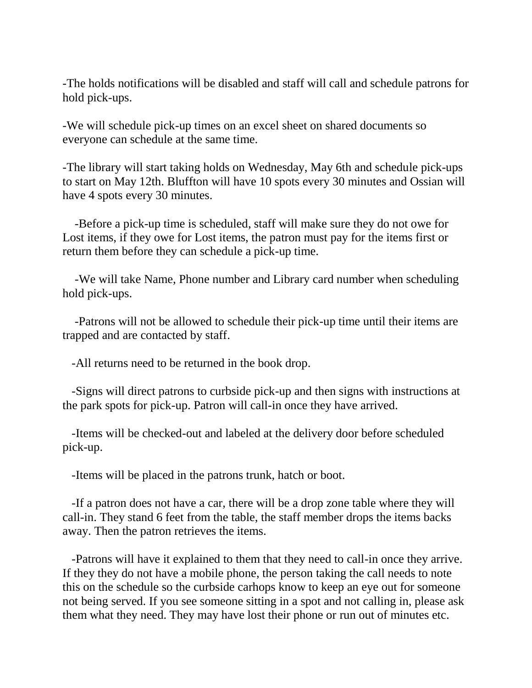-The holds notifications will be disabled and staff will call and schedule patrons for hold pick-ups.

-We will schedule pick-up times on an excel sheet on shared documents so everyone can schedule at the same time.

-The library will start taking holds on Wednesday, May 6th and schedule pick-ups to start on May 12th. Bluffton will have 10 spots every 30 minutes and Ossian will have 4 spots every 30 minutes.

-Before a pick-up time is scheduled, staff will make sure they do not owe for Lost items, if they owe for Lost items, the patron must pay for the items first or return them before they can schedule a pick-up time.

-We will take Name, Phone number and Library card number when scheduling hold pick-ups.

-Patrons will not be allowed to schedule their pick-up time until their items are trapped and are contacted by staff.

-All returns need to be returned in the book drop.

-Signs will direct patrons to curbside pick-up and then signs with instructions at the park spots for pick-up. Patron will call-in once they have arrived.

-Items will be checked-out and labeled at the delivery door before scheduled pick-up.

-Items will be placed in the patrons trunk, hatch or boot.

-If a patron does not have a car, there will be a drop zone table where they will call-in. They stand 6 feet from the table, the staff member drops the items backs away. Then the patron retrieves the items.

-Patrons will have it explained to them that they need to call-in once they arrive. If they they do not have a mobile phone, the person taking the call needs to note this on the schedule so the curbside carhops know to keep an eye out for someone not being served. If you see someone sitting in a spot and not calling in, please ask them what they need. They may have lost their phone or run out of minutes etc.